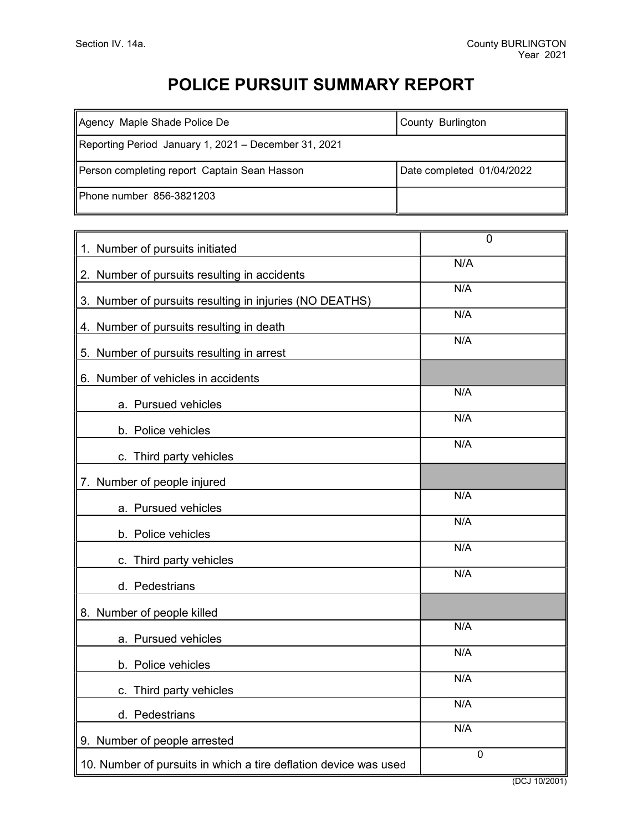## POLICE PURSUIT SUMMARY REPORT

| Agency Maple Shade Police De                         | County Burlington         |  |
|------------------------------------------------------|---------------------------|--|
| Reporting Period January 1, 2021 – December 31, 2021 |                           |  |
| Person completing report Captain Sean Hasson         | Date completed 01/04/2022 |  |
| IPhone number 856-3821203                            |                           |  |

┯

| 1. Number of pursuits initiated                                  | $\mathbf 0$   |
|------------------------------------------------------------------|---------------|
| 2. Number of pursuits resulting in accidents                     | N/A           |
| 3. Number of pursuits resulting in injuries (NO DEATHS)          | N/A           |
| 4. Number of pursuits resulting in death                         | N/A           |
| 5. Number of pursuits resulting in arrest                        | N/A           |
| 6. Number of vehicles in accidents                               |               |
| a. Pursued vehicles                                              | N/A           |
| b. Police vehicles                                               | N/A           |
| c. Third party vehicles                                          | N/A           |
| 7. Number of people injured                                      |               |
| a. Pursued vehicles                                              | N/A           |
| b. Police vehicles                                               | N/A           |
| c. Third party vehicles                                          | N/A           |
| d. Pedestrians                                                   | N/A           |
| 8. Number of people killed                                       |               |
| a. Pursued vehicles                                              | N/A           |
| b. Police vehicles                                               | N/A           |
| c. Third party vehicles                                          | N/A           |
| d. Pedestrians                                                   | N/A           |
| 9. Number of people arrested                                     | N/A           |
| 10. Number of pursuits in which a tire deflation device was used | $\mathbf 0$   |
|                                                                  | (DCJ 10/2001) |